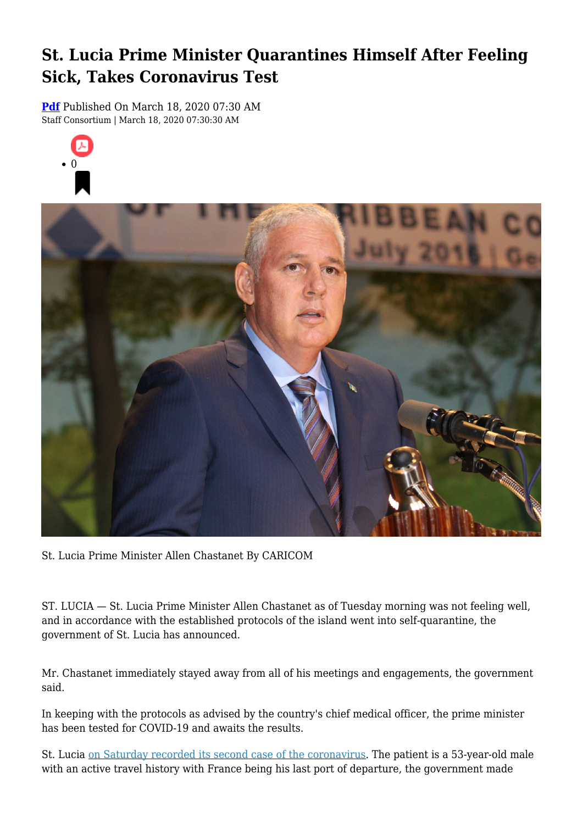## **St. Lucia Prime Minister Quarantines Himself After Feeling Sick, Takes Coronavirus Test**

**[Pdf](https://viconsortium.com/caribbean-pdf)** Published On March 18, 2020 07:30 AM Staff Consortium | March 18, 2020 07:30:30 AM





St. Lucia Prime Minister Allen Chastanet By CARICOM

ST. LUCIA — St. Lucia Prime Minister Allen Chastanet as of Tuesday morning was not feeling well, and in accordance with the established protocols of the island went into self-quarantine, the government of St. Lucia has announced.

Mr. Chastanet immediately stayed away from all of his meetings and engagements, the government said.

In keeping with the protocols as advised by the country's chief medical officer, the prime minister has been tested for COVID-19 and awaits the results.

St. Lucia [on Saturday recorded its second case of the coronavirus.](https://viconsortium.com/vi-coronavirus/caribbean-st-lucia-records-second-case-of-coronavirus-shuts-down-all-learning-institutions-) The patient is a 53-year-old male with an active travel history with France being his last port of departure, the government made